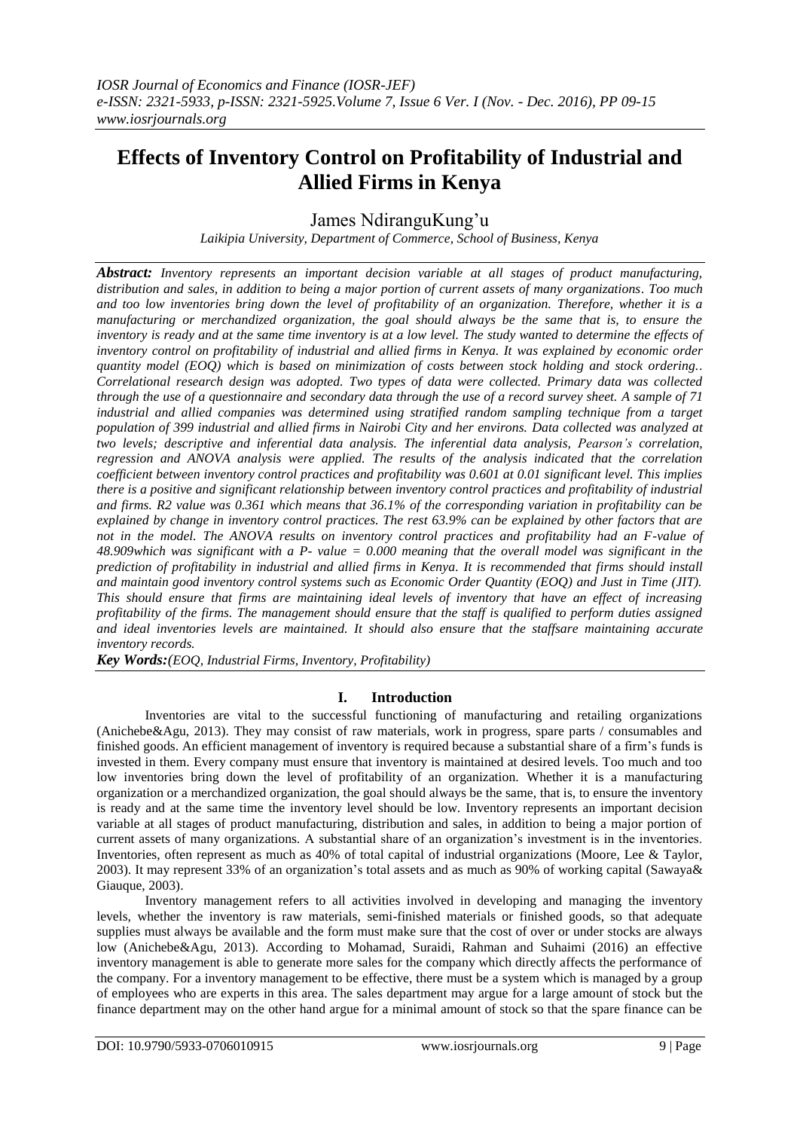# **Effects of Inventory Control on Profitability of Industrial and Allied Firms in Kenya**

James NdiranguKung'u

*Laikipia University, Department of Commerce, School of Business, Kenya*

*Abstract: Inventory represents an important decision variable at all stages of product manufacturing, distribution and sales, in addition to being a major portion of current assets of many organizations. Too much and too low inventories bring down the level of profitability of an organization. Therefore, whether it is a manufacturing or merchandized organization, the goal should always be the same that is, to ensure the inventory is ready and at the same time inventory is at a low level. The study wanted to determine the effects of inventory control on profitability of industrial and allied firms in Kenya. It was explained by economic order quantity model (EOQ) which is based on minimization of costs between stock holding and stock ordering.. Correlational research design was adopted. Two types of data were collected. Primary data was collected through the use of a questionnaire and secondary data through the use of a record survey sheet. A sample of 71 industrial and allied companies was determined using stratified random sampling technique from a target population of 399 industrial and allied firms in Nairobi City and her environs. Data collected was analyzed at two levels; descriptive and inferential data analysis. The inferential data analysis, Pearson's correlation, regression and ANOVA analysis were applied. The results of the analysis indicated that the correlation coefficient between inventory control practices and profitability was 0.601 at 0.01 significant level. This implies there is a positive and significant relationship between inventory control practices and profitability of industrial and firms. R2 value was 0.361 which means that 36.1% of the corresponding variation in profitability can be explained by change in inventory control practices. The rest 63.9% can be explained by other factors that are not in the model. The ANOVA results on inventory control practices and profitability had an F-value of 48.909which was significant with a P- value = 0.000 meaning that the overall model was significant in the prediction of profitability in industrial and allied firms in Kenya. It is recommended that firms should install and maintain good inventory control systems such as Economic Order Quantity (EOQ) and Just in Time (JIT). This should ensure that firms are maintaining ideal levels of inventory that have an effect of increasing profitability of the firms. The management should ensure that the staff is qualified to perform duties assigned and ideal inventories levels are maintained. It should also ensure that the staffsare maintaining accurate inventory records.* 

*Key Words:(EOQ, Industrial Firms, Inventory, Profitability)*

## **I. Introduction**

Inventories are vital to the successful functioning of manufacturing and retailing organizations (Anichebe&Agu, 2013). They may consist of raw materials, work in progress, spare parts / consumables and finished goods. An efficient management of inventory is required because a substantial share of a firm's funds is invested in them. Every company must ensure that inventory is maintained at desired levels. Too much and too low inventories bring down the level of profitability of an organization. Whether it is a manufacturing organization or a merchandized organization, the goal should always be the same, that is, to ensure the inventory is ready and at the same time the inventory level should be low. Inventory represents an important decision variable at all stages of product manufacturing, distribution and sales, in addition to being a major portion of current assets of many organizations. A substantial share of an organization's investment is in the inventories. Inventories, often represent as much as 40% of total capital of industrial organizations (Moore, Lee & Taylor, 2003). It may represent 33% of an organization's total assets and as much as 90% of working capital (Sawaya& Giauque, 2003).

Inventory management refers to all activities involved in developing and managing the inventory levels, whether the inventory is raw materials, semi-finished materials or finished goods, so that adequate supplies must always be available and the form must make sure that the cost of over or under stocks are always low (Anichebe&Agu, 2013). According to Mohamad, Suraidi, Rahman and Suhaimi (2016) an effective inventory management is able to generate more sales for the company which directly affects the performance of the company. For a inventory management to be effective, there must be a system which is managed by a group of employees who are experts in this area. The sales department may argue for a large amount of stock but the finance department may on the other hand argue for a minimal amount of stock so that the spare finance can be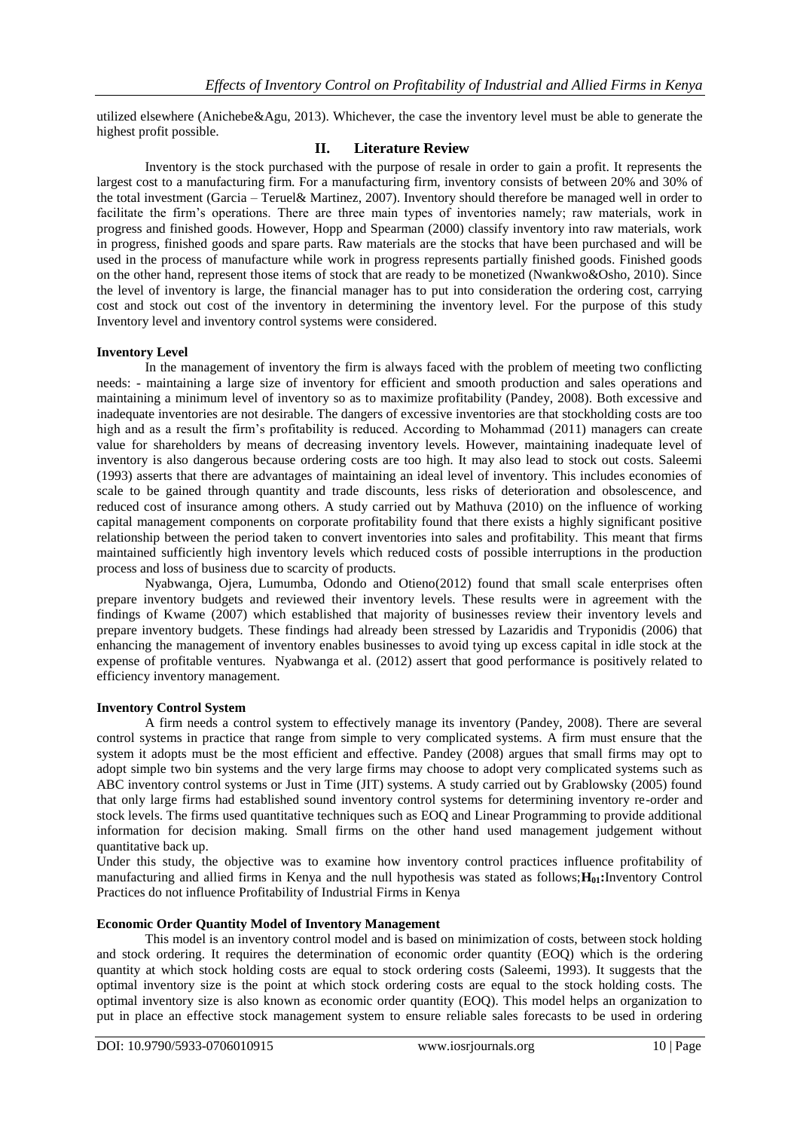utilized elsewhere (Anichebe&Agu, 2013). Whichever, the case the inventory level must be able to generate the highest profit possible.

## **II. Literature Review**

Inventory is the stock purchased with the purpose of resale in order to gain a profit. It represents the largest cost to a manufacturing firm. For a manufacturing firm, inventory consists of between 20% and 30% of the total investment (Garcia – Teruel& Martinez, 2007). Inventory should therefore be managed well in order to facilitate the firm's operations. There are three main types of inventories namely; raw materials, work in progress and finished goods. However, Hopp and Spearman (2000) classify inventory into raw materials, work in progress, finished goods and spare parts. Raw materials are the stocks that have been purchased and will be used in the process of manufacture while work in progress represents partially finished goods. Finished goods on the other hand, represent those items of stock that are ready to be monetized (Nwankwo&Osho, 2010). Since the level of inventory is large, the financial manager has to put into consideration the ordering cost, carrying cost and stock out cost of the inventory in determining the inventory level. For the purpose of this study Inventory level and inventory control systems were considered.

#### **Inventory Level**

In the management of inventory the firm is always faced with the problem of meeting two conflicting needs: - maintaining a large size of inventory for efficient and smooth production and sales operations and maintaining a minimum level of inventory so as to maximize profitability (Pandey, 2008). Both excessive and inadequate inventories are not desirable. The dangers of excessive inventories are that stockholding costs are too high and as a result the firm's profitability is reduced. According to Mohammad (2011) managers can create value for shareholders by means of decreasing inventory levels. However, maintaining inadequate level of inventory is also dangerous because ordering costs are too high. It may also lead to stock out costs. Saleemi (1993) asserts that there are advantages of maintaining an ideal level of inventory. This includes economies of scale to be gained through quantity and trade discounts, less risks of deterioration and obsolescence, and reduced cost of insurance among others. A study carried out by Mathuva (2010) on the influence of working capital management components on corporate profitability found that there exists a highly significant positive relationship between the period taken to convert inventories into sales and profitability. This meant that firms maintained sufficiently high inventory levels which reduced costs of possible interruptions in the production process and loss of business due to scarcity of products.

Nyabwanga, Ojera, Lumumba, Odondo and Otieno(2012) found that small scale enterprises often prepare inventory budgets and reviewed their inventory levels. These results were in agreement with the findings of Kwame (2007) which established that majority of businesses review their inventory levels and prepare inventory budgets. These findings had already been stressed by Lazaridis and Tryponidis (2006) that enhancing the management of inventory enables businesses to avoid tying up excess capital in idle stock at the expense of profitable ventures. Nyabwanga et al. (2012) assert that good performance is positively related to efficiency inventory management.

#### **Inventory Control System**

A firm needs a control system to effectively manage its inventory (Pandey, 2008). There are several control systems in practice that range from simple to very complicated systems. A firm must ensure that the system it adopts must be the most efficient and effective. Pandey (2008) argues that small firms may opt to adopt simple two bin systems and the very large firms may choose to adopt very complicated systems such as ABC inventory control systems or Just in Time (JIT) systems. A study carried out by Grablowsky (2005) found that only large firms had established sound inventory control systems for determining inventory re-order and stock levels. The firms used quantitative techniques such as EOQ and Linear Programming to provide additional information for decision making. Small firms on the other hand used management judgement without quantitative back up.

Under this study, the objective was to examine how inventory control practices influence profitability of manufacturing and allied firms in Kenya and the null hypothesis was stated as follows;**H01:**Inventory Control Practices do not influence Profitability of Industrial Firms in Kenya

#### **Economic Order Quantity Model of Inventory Management**

This model is an inventory control model and is based on minimization of costs, between stock holding and stock ordering. It requires the determination of economic order quantity (EOQ) which is the ordering quantity at which stock holding costs are equal to stock ordering costs (Saleemi, 1993). It suggests that the optimal inventory size is the point at which stock ordering costs are equal to the stock holding costs. The optimal inventory size is also known as economic order quantity (EOQ). This model helps an organization to put in place an effective stock management system to ensure reliable sales forecasts to be used in ordering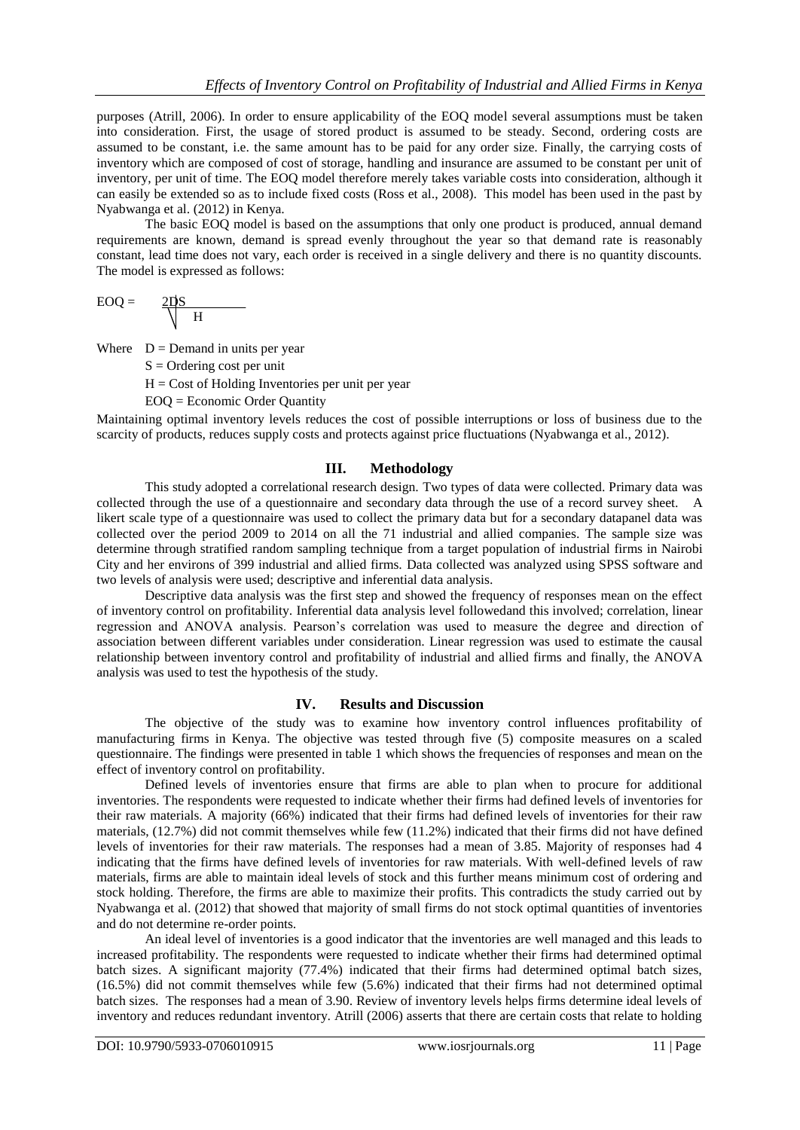purposes (Atrill, 2006). In order to ensure applicability of the EOQ model several assumptions must be taken into consideration. First, the usage of stored product is assumed to be steady. Second, ordering costs are assumed to be constant, i.e. the same amount has to be paid for any order size. Finally, the carrying costs of inventory which are composed of cost of storage, handling and insurance are assumed to be constant per unit of inventory, per unit of time. The EOQ model therefore merely takes variable costs into consideration, although it can easily be extended so as to include fixed costs (Ross et al., 2008). This model has been used in the past by Nyabwanga et al. (2012) in Kenya.

The basic EOQ model is based on the assumptions that only one product is produced, annual demand requirements are known, demand is spread evenly throughout the year so that demand rate is reasonably constant, lead time does not vary, each order is received in a single delivery and there is no quantity discounts. The model is expressed as follows:

$$
EOQ = \frac{2DS}{\sqrt{H}}
$$

Where  $D =$  Demand in units per year

 $S =$ Ordering cost per unit

 $H = \text{Cost of Holding Inventories per unit per year}$ 

EOQ = Economic Order Quantity

Maintaining optimal inventory levels reduces the cost of possible interruptions or loss of business due to the scarcity of products, reduces supply costs and protects against price fluctuations (Nyabwanga et al., 2012).

# **III. Methodology**

This study adopted a correlational research design. Two types of data were collected. Primary data was collected through the use of a questionnaire and secondary data through the use of a record survey sheet. A likert scale type of a questionnaire was used to collect the primary data but for a secondary datapanel data was collected over the period 2009 to 2014 on all the 71 industrial and allied companies. The sample size was determine through stratified random sampling technique from a target population of industrial firms in Nairobi City and her environs of 399 industrial and allied firms. Data collected was analyzed using SPSS software and two levels of analysis were used; descriptive and inferential data analysis.

Descriptive data analysis was the first step and showed the frequency of responses mean on the effect of inventory control on profitability. Inferential data analysis level followedand this involved; correlation, linear regression and ANOVA analysis. Pearson's correlation was used to measure the degree and direction of association between different variables under consideration. Linear regression was used to estimate the causal relationship between inventory control and profitability of industrial and allied firms and finally, the ANOVA analysis was used to test the hypothesis of the study.

## **IV. Results and Discussion**

The objective of the study was to examine how inventory control influences profitability of manufacturing firms in Kenya. The objective was tested through five (5) composite measures on a scaled questionnaire. The findings were presented in table 1 which shows the frequencies of responses and mean on the effect of inventory control on profitability.

Defined levels of inventories ensure that firms are able to plan when to procure for additional inventories. The respondents were requested to indicate whether their firms had defined levels of inventories for their raw materials. A majority (66%) indicated that their firms had defined levels of inventories for their raw materials, (12.7%) did not commit themselves while few (11.2%) indicated that their firms did not have defined levels of inventories for their raw materials. The responses had a mean of 3.85. Majority of responses had 4 indicating that the firms have defined levels of inventories for raw materials. With well-defined levels of raw materials, firms are able to maintain ideal levels of stock and this further means minimum cost of ordering and stock holding. Therefore, the firms are able to maximize their profits. This contradicts the study carried out by Nyabwanga et al. (2012) that showed that majority of small firms do not stock optimal quantities of inventories and do not determine re-order points.

An ideal level of inventories is a good indicator that the inventories are well managed and this leads to increased profitability. The respondents were requested to indicate whether their firms had determined optimal batch sizes. A significant majority (77.4%) indicated that their firms had determined optimal batch sizes, (16.5%) did not commit themselves while few (5.6%) indicated that their firms had not determined optimal batch sizes. The responses had a mean of 3.90. Review of inventory levels helps firms determine ideal levels of inventory and reduces redundant inventory. Atrill (2006) asserts that there are certain costs that relate to holding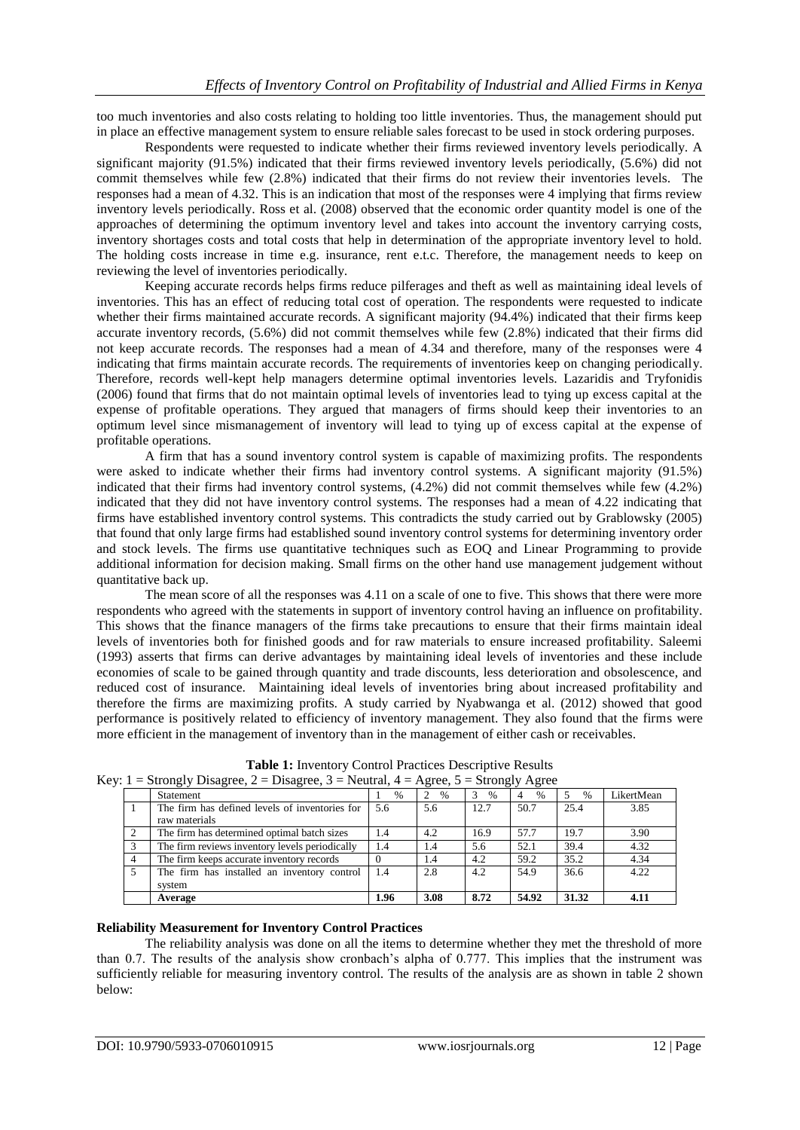too much inventories and also costs relating to holding too little inventories. Thus, the management should put in place an effective management system to ensure reliable sales forecast to be used in stock ordering purposes.

Respondents were requested to indicate whether their firms reviewed inventory levels periodically. A significant majority (91.5%) indicated that their firms reviewed inventory levels periodically, (5.6%) did not commit themselves while few (2.8%) indicated that their firms do not review their inventories levels. The responses had a mean of 4.32. This is an indication that most of the responses were 4 implying that firms review inventory levels periodically. Ross et al. (2008) observed that the economic order quantity model is one of the approaches of determining the optimum inventory level and takes into account the inventory carrying costs, inventory shortages costs and total costs that help in determination of the appropriate inventory level to hold. The holding costs increase in time e.g. insurance, rent e.t.c. Therefore, the management needs to keep on reviewing the level of inventories periodically.

Keeping accurate records helps firms reduce pilferages and theft as well as maintaining ideal levels of inventories. This has an effect of reducing total cost of operation. The respondents were requested to indicate whether their firms maintained accurate records. A significant majority (94.4%) indicated that their firms keep accurate inventory records, (5.6%) did not commit themselves while few (2.8%) indicated that their firms did not keep accurate records. The responses had a mean of 4.34 and therefore, many of the responses were 4 indicating that firms maintain accurate records. The requirements of inventories keep on changing periodically. Therefore, records well-kept help managers determine optimal inventories levels. Lazaridis and Tryfonidis (2006) found that firms that do not maintain optimal levels of inventories lead to tying up excess capital at the expense of profitable operations. They argued that managers of firms should keep their inventories to an optimum level since mismanagement of inventory will lead to tying up of excess capital at the expense of profitable operations.

A firm that has a sound inventory control system is capable of maximizing profits. The respondents were asked to indicate whether their firms had inventory control systems. A significant majority (91.5%) indicated that their firms had inventory control systems, (4.2%) did not commit themselves while few (4.2%) indicated that they did not have inventory control systems. The responses had a mean of 4.22 indicating that firms have established inventory control systems. This contradicts the study carried out by Grablowsky (2005) that found that only large firms had established sound inventory control systems for determining inventory order and stock levels. The firms use quantitative techniques such as EOQ and Linear Programming to provide additional information for decision making. Small firms on the other hand use management judgement without quantitative back up.

The mean score of all the responses was 4.11 on a scale of one to five. This shows that there were more respondents who agreed with the statements in support of inventory control having an influence on profitability. This shows that the finance managers of the firms take precautions to ensure that their firms maintain ideal levels of inventories both for finished goods and for raw materials to ensure increased profitability. Saleemi (1993) asserts that firms can derive advantages by maintaining ideal levels of inventories and these include economies of scale to be gained through quantity and trade discounts, less deterioration and obsolescence, and reduced cost of insurance. Maintaining ideal levels of inventories bring about increased profitability and therefore the firms are maximizing profits. A study carried by Nyabwanga et al. (2012) showed that good performance is positively related to efficiency of inventory management. They also found that the firms were more efficient in the management of inventory than in the management of either cash or receivables.

| Key: $1 =$ Strongly Disagree, $2 =$ Disagree, $3 =$ Neutral, $4 =$ Agree, $5 =$ Strongly Agree |                                                                 |      |      |      |       |       |            |  |  |
|------------------------------------------------------------------------------------------------|-----------------------------------------------------------------|------|------|------|-------|-------|------------|--|--|
|                                                                                                | <b>Statement</b>                                                | $\%$ | $\%$ | $\%$ | $\%$  | $\%$  | LikertMean |  |  |
|                                                                                                | The firm has defined levels of inventories for<br>raw materials | 5.6  | 5.6  | 12.7 | 50.7  | 25.4  | 3.85       |  |  |
|                                                                                                | The firm has determined optimal batch sizes                     | 1.4  | 4.2  | 16.9 | 57.7  | 19.7  | 3.90       |  |  |
|                                                                                                | The firm reviews inventory levels periodically                  | 1.4  | 1.4  | 5.6  | 52.1  | 39.4  | 4.32       |  |  |
|                                                                                                | The firm keeps accurate inventory records                       |      | 1.4  | 4.2  | 59.2  | 35.2  | 4.34       |  |  |
|                                                                                                | The firm has installed an inventory control<br>system           | 1.4  | 2.8  | 4.2  | 54.9  | 36.6  | 4.22       |  |  |
|                                                                                                | Average                                                         | 1.96 | 3.08 | 8.72 | 54.92 | 31.32 | 4.11       |  |  |

**Table 1:** Inventory Control Practices Descriptive Results

## **Reliability Measurement for Inventory Control Practices**

The reliability analysis was done on all the items to determine whether they met the threshold of more than 0.7. The results of the analysis show cronbach's alpha of 0.777. This implies that the instrument was sufficiently reliable for measuring inventory control. The results of the analysis are as shown in table 2 shown below: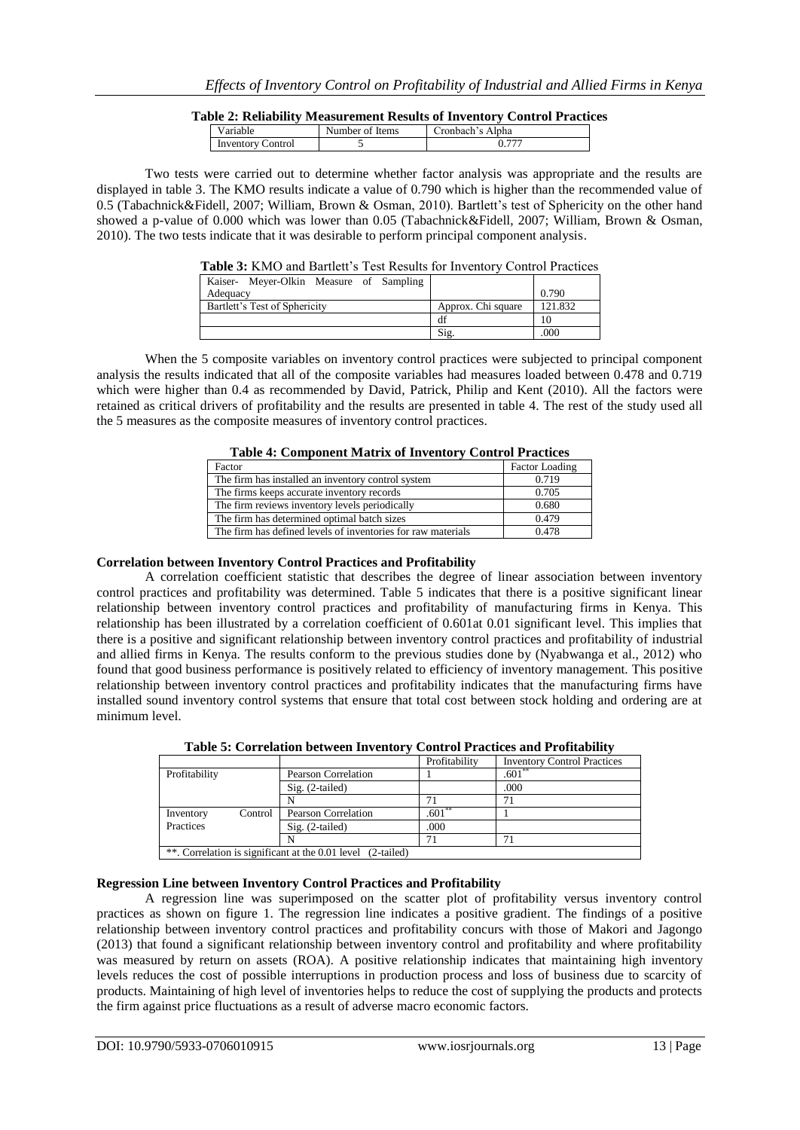## **Table 2: Reliability Measurement Results of Inventory Control Practices**

| 'arıable.            | Items<br>Number of | `ronbach's Alpha |  |
|----------------------|--------------------|------------------|--|
| control<br>Inventory |                    |                  |  |

Two tests were carried out to determine whether factor analysis was appropriate and the results are displayed in table 3. The KMO results indicate a value of 0.790 which is higher than the recommended value of 0.5 (Tabachnick&Fidell, 2007; William, Brown & Osman, 2010). Bartlett's test of Sphericity on the other hand showed a p-value of 0.000 which was lower than 0.05 (Tabachnick&Fidell, 2007; William, Brown & Osman, 2010). The two tests indicate that it was desirable to perform principal component analysis.

#### **Table 3:** KMO and Bartlett's Test Results for Inventory Control Practices

| Kaiser- Meyer-Olkin Measure of Sampling |                    |         |
|-----------------------------------------|--------------------|---------|
| Adequacy                                |                    | 0.790   |
| Bartlett's Test of Sphericity           | Approx. Chi square | 121.832 |
|                                         | df                 |         |
|                                         | Sig                | 000     |

When the 5 composite variables on inventory control practices were subjected to principal component analysis the results indicated that all of the composite variables had measures loaded between 0.478 and 0.719 which were higher than 0.4 as recommended by David, Patrick, Philip and Kent (2010). All the factors were retained as critical drivers of profitability and the results are presented in table 4. The rest of the study used all the 5 measures as the composite measures of inventory control practices.

## **Table 4: Component Matrix of Inventory Control Practices**

| Factor                                                       | Factor Loading |
|--------------------------------------------------------------|----------------|
| The firm has installed an inventory control system           | 0.719          |
| The firms keeps accurate inventory records                   | 0.705          |
| The firm reviews inventory levels periodically               | 0.680          |
| The firm has determined optimal batch sizes                  | 0.479          |
| The firm has defined levels of inventories for raw materials | 0.478          |

## **Correlation between Inventory Control Practices and Profitability**

A correlation coefficient statistic that describes the degree of linear association between inventory control practices and profitability was determined. Table 5 indicates that there is a positive significant linear relationship between inventory control practices and profitability of manufacturing firms in Kenya. This relationship has been illustrated by a correlation coefficient of 0.601at 0.01 significant level. This implies that there is a positive and significant relationship between inventory control practices and profitability of industrial and allied firms in Kenya. The results conform to the previous studies done by (Nyabwanga et al., 2012) who found that good business performance is positively related to efficiency of inventory management. This positive relationship between inventory control practices and profitability indicates that the manufacturing firms have installed sound inventory control systems that ensure that total cost between stock holding and ordering are at minimum level.

|               |         |                                                             | Profitability | <b>Inventory Control Practices</b> |
|---------------|---------|-------------------------------------------------------------|---------------|------------------------------------|
| Profitability |         | Pearson Correlation                                         |               | $.601**$                           |
|               |         | $Sig. (2-tailed)$                                           |               | .000                               |
|               |         |                                                             |               | 71                                 |
| Inventory     | Control | <b>Pearson Correlation</b>                                  | .601          |                                    |
| Practices     |         | $Sig. (2-tailed)$                                           | .000          |                                    |
|               |         |                                                             | 71            | 71                                 |
|               |         | **. Correlation is significant at the 0.01 level (2-tailed) |               |                                    |

**Table 5: Correlation between Inventory Control Practices and Profitability**

## **Regression Line between Inventory Control Practices and Profitability**

A regression line was superimposed on the scatter plot of profitability versus inventory control practices as shown on figure 1. The regression line indicates a positive gradient. The findings of a positive relationship between inventory control practices and profitability concurs with those of Makori and Jagongo (2013) that found a significant relationship between inventory control and profitability and where profitability was measured by return on assets (ROA). A positive relationship indicates that maintaining high inventory levels reduces the cost of possible interruptions in production process and loss of business due to scarcity of products. Maintaining of high level of inventories helps to reduce the cost of supplying the products and protects the firm against price fluctuations as a result of adverse macro economic factors.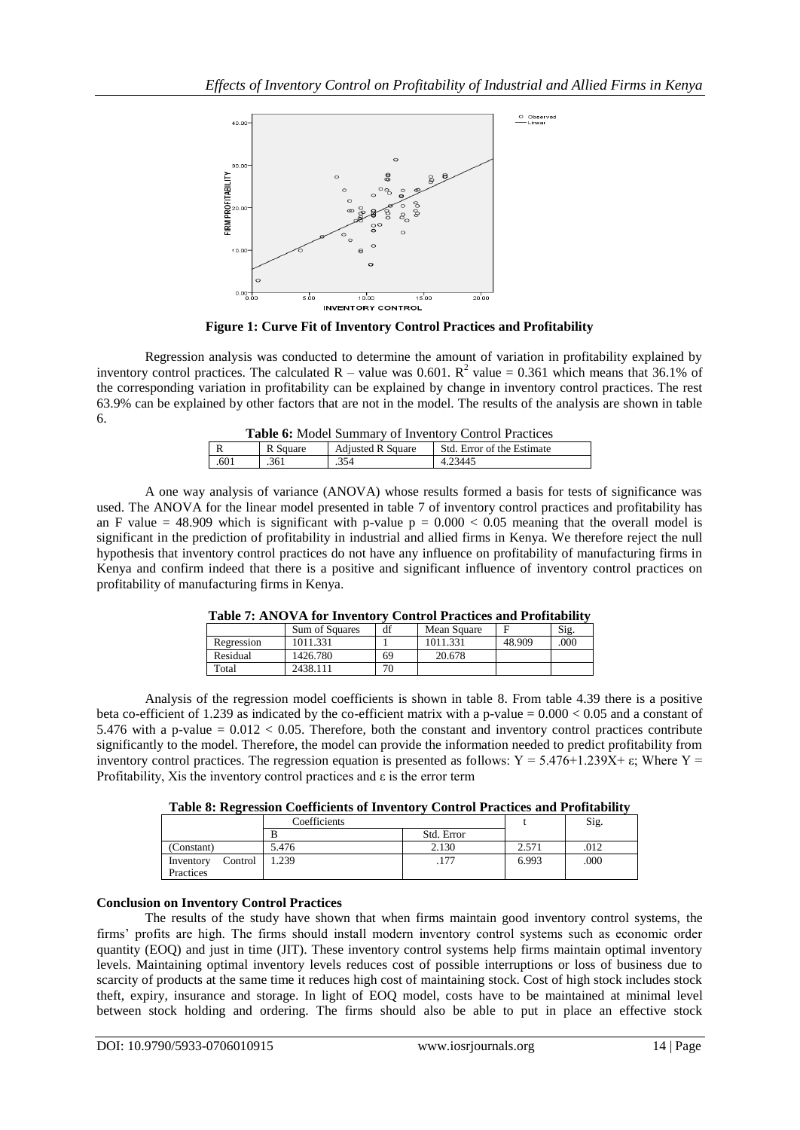

**Figure 1: Curve Fit of Inventory Control Practices and Profitability**

Regression analysis was conducted to determine the amount of variation in profitability explained by inventory control practices. The calculated R – value was 0.601.  $R^2$  value = 0.361 which means that 36.1% of the corresponding variation in profitability can be explained by change in inventory control practices. The rest 63.9% can be explained by other factors that are not in the model. The results of the analysis are shown in table 6.

|  | Table 6: Model Summary of Inventory Control Practices |  |  |
|--|-------------------------------------------------------|--|--|
|  |                                                       |  |  |

| 17   | Square | <b>Adjusted R Square</b> | Std.<br>Error of the Estimate |
|------|--------|--------------------------|-------------------------------|
| .601 | .361   | .354                     | 4.23445                       |
|      |        |                          |                               |

A one way analysis of variance (ANOVA) whose results formed a basis for tests of significance was used. The ANOVA for the linear model presented in table 7 of inventory control practices and profitability has an F value = 48.909 which is significant with p-value  $p = 0.000 < 0.05$  meaning that the overall model is significant in the prediction of profitability in industrial and allied firms in Kenya. We therefore reject the null hypothesis that inventory control practices do not have any influence on profitability of manufacturing firms in Kenya and confirm indeed that there is a positive and significant influence of inventory control practices on profitability of manufacturing firms in Kenya.

| Table 7. Arry 7.1 IVI Inventory Control I ractices and I romability |                       |    |             |        |      |  |  |  |
|---------------------------------------------------------------------|-----------------------|----|-------------|--------|------|--|--|--|
|                                                                     | <b>Sum of Squares</b> | df | Mean Square |        | Sig. |  |  |  |
| Regression                                                          | 1011.331              |    | 1011.331    | 48.909 | .000 |  |  |  |
| Residual                                                            | 1426.780              | 69 | 20.678      |        |      |  |  |  |
| Total                                                               | 2438.111              | 70 |             |        |      |  |  |  |

|  | Table 7: ANOVA for Inventory Control Practices and Profitability |  |
|--|------------------------------------------------------------------|--|
|  |                                                                  |  |

Analysis of the regression model coefficients is shown in table 8. From table 4.39 there is a positive beta co-efficient of 1.239 as indicated by the co-efficient matrix with a p-value =  $0.000 < 0.05$  and a constant of 5.476 with a p-value  $= 0.012 < 0.05$ . Therefore, both the constant and inventory control practices contribute significantly to the model. Therefore, the model can provide the information needed to predict profitability from inventory control practices. The regression equation is presented as follows:  $Y = 5.476 + 1.239X + \epsilon$ ; Where Y = Profitability, Xis the inventory control practices and  $\varepsilon$  is the error term

**Table 8: Regression Coefficients of Inventory Control Practices and Profitability**

|                                   | Coefficients |            |       | Sig. |
|-----------------------------------|--------------|------------|-------|------|
|                                   | B            | Std. Error |       |      |
| (Constant)                        | 5.476        | 2.130      | 2.571 | .012 |
| Control<br>Inventory<br>Practices | .239         | .177       | 6.993 | .000 |

## **Conclusion on Inventory Control Practices**

The results of the study have shown that when firms maintain good inventory control systems, the firms' profits are high. The firms should install modern inventory control systems such as economic order quantity (EOQ) and just in time (JIT). These inventory control systems help firms maintain optimal inventory levels. Maintaining optimal inventory levels reduces cost of possible interruptions or loss of business due to scarcity of products at the same time it reduces high cost of maintaining stock. Cost of high stock includes stock theft, expiry, insurance and storage. In light of EOQ model, costs have to be maintained at minimal level between stock holding and ordering. The firms should also be able to put in place an effective stock